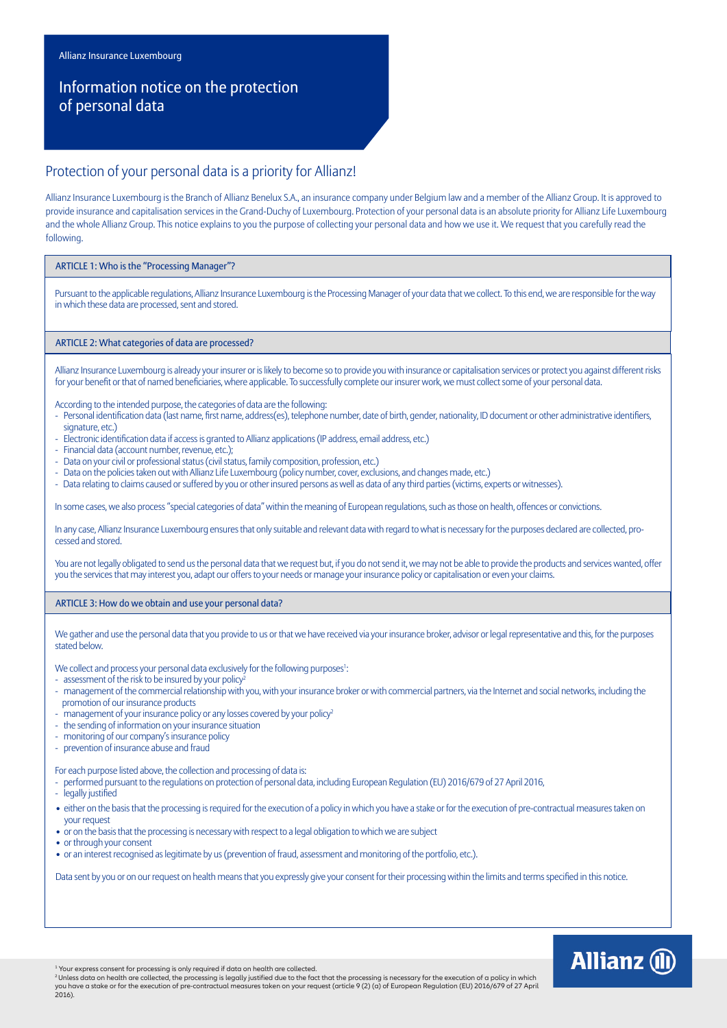# Information notice on the protection of personal data

# Protection of your personal data is a priority for Allianz!

Allianz Insurance Luxembourg is the Branch of Allianz Benelux S.A., an insurance company under Belgium law and a member of the Allianz Group. It is approved to provide insurance and capitalisation services in the Grand-Duchy of Luxembourg. Protection of your personal data is an absolute priority for Allianz Life Luxembourg and the whole Allianz Group. This notice explains to you the purpose of collecting your personal data and how we use it. We request that you carefully read the following.

#### ARTICLE 1: Who is the "Processing Manager"?

Pursuant to the applicable regulations, Allianz Insurance Luxembourg is the Processing Manager of your data that we collect. To this end, we are responsible for the way in which these data are processed, sent and stored.

## ARTICLE 2: What categories of data are processed?

Allianz Insurance Luxembourg is already your insurer or is likely to become so to provide you with insurance or capitalisation services or protect you against different risks for your benefit or that of named beneficiaries, where applicable. To successfully complete our insurer work, we must collect some of your personal data.

- According to the intended purpose, the categories of data are the following:
- Personal identification data (last name, first name, address(es), telephone number, date of birth, gender, nationality, ID document or other administrative identifiers, signature, etc.)
- Electronic identification data if access is granted to Allianz applications (IP address, email address, etc.)
- Financial data (account number, revenue, etc.);
- Data on your civil or professional status (civil status, family composition, profession, etc.)
- Data on the policies taken out with Allianz Life Luxembourg (policy number, cover, exclusions, and changes made, etc.)
- Data relating to claims caused or suffered by you or other insured persons as well as data of any third parties (victims, experts or witnesses).

In some cases, we also process "special categories of data" within the meaning of European regulations, such as those on health, offences or convictions.

In any case, Allianz Insurance Luxembourg ensures that only suitable and relevant data with regard to what is necessary for the purposes declared are collected, processed and stored.

You are not legally obligated to send us the personal data that we request but, if you do not send it, we may not be able to provide the products and services wanted, offer you the services that may interest you, adapt our offers to your needs or manage your insurance policy or capitalisation or even your claims.

ARTICLE 3: How do we obtain and use your personal data?

We gather and use the personal data that you provide to us or that we have received via your insurance broker, advisor or legal representative and this, for the purposes stated below.

- We collect and process your personal data exclusively for the following purposes1:
- assessment of the risk to be insured by your policy<sup>2</sup>
- management of the commercial relationship with you, with your insurance broker or with commercial partners, via the Internet and social networks, including the promotion of our insurance products
- management of your insurance policy or any losses covered by your policy<sup>2</sup>
- the sending of information on your insurance situation
- monitoring of our company's insurance policy
- prevention of insurance abuse and fraud

For each purpose listed above, the collection and processing of data is:

- performed pursuant to the regulations on protection of personal data, including European Regulation (EU) 2016/679 of 27 April 2016,

- legally justified
- either on the basis that the processing is required for the execution of a policy in which you have a stake or for the execution of pre-contractual measures taken on your request
- or on the basis that the processing is necessary with respect to a legal obligation to which we are subject
- or through your consent
- or an interest recognised as legitimate by us (prevention of fraud, assessment and monitoring of the portfolio, etc.).

Data sent by you or on our request on health means that you expressly give your consent for their processing within the limits and terms specified in this notice.

**Allianz** (ii)

<sup>1</sup> Your express consent for processing is only required if data on health are collected.

<sup>2</sup>Unless data on health are collected, the processing is legally justified due to the fact that the processing is necessary for the execution of a policy in which you have a stake or for the execution of pre-contractual measures taken on your request (article 9 (2) (a) of European Regulation (EU) 2016/679 of 27 April 2016).